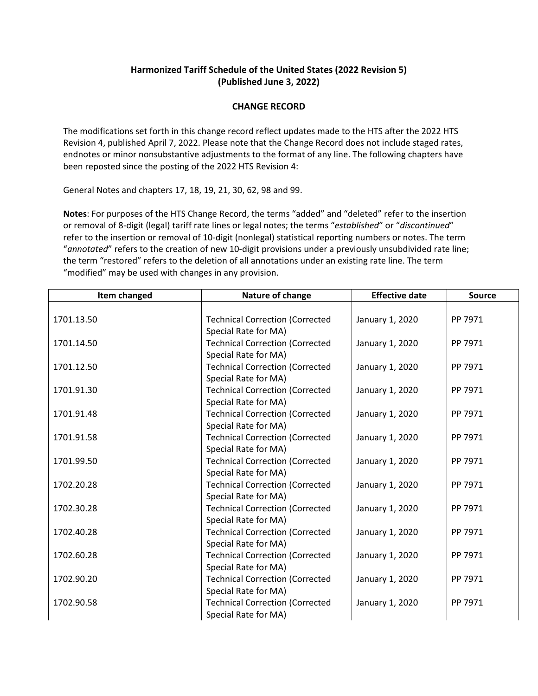## **Harmonized Tariff Schedule of the United States (2022 Revision 5) (Published June 3, 2022)**

## **CHANGE RECORD**

The modifications set forth in this change record reflect updates made to the HTS after the 2022 HTS Revision 4, published April 7, 2022. Please note that the Change Record does not include staged rates, endnotes or minor nonsubstantive adjustments to the format of any line. The following chapters have been reposted since the posting of the 2022 HTS Revision 4:

General Notes and chapters 17, 18, 19, 21, 30, 62, 98 and 99.

**Notes**: For purposes of the HTS Change Record, the terms "added" and "deleted" refer to the insertion or removal of 8‐digit (legal) tariff rate lines or legal notes; the terms "*established*" or "*discontinued*" refer to the insertion or removal of 10‐digit (nonlegal) statistical reporting numbers or notes. The term "*annotated*" refers to the creation of new 10‐digit provisions under a previously unsubdivided rate line; the term "restored" refers to the deletion of all annotations under an existing rate line. The term "modified" may be used with changes in any provision.

| Item changed | Nature of change                       | <b>Effective date</b> | <b>Source</b> |
|--------------|----------------------------------------|-----------------------|---------------|
|              |                                        |                       |               |
| 1701.13.50   | <b>Technical Correction (Corrected</b> | January 1, 2020       | PP 7971       |
|              | Special Rate for MA)                   |                       |               |
| 1701.14.50   | <b>Technical Correction (Corrected</b> | January 1, 2020       | PP 7971       |
|              | Special Rate for MA)                   |                       |               |
| 1701.12.50   | <b>Technical Correction (Corrected</b> | January 1, 2020       | PP 7971       |
|              | Special Rate for MA)                   |                       |               |
| 1701.91.30   | <b>Technical Correction (Corrected</b> | January 1, 2020       | PP 7971       |
|              | Special Rate for MA)                   |                       |               |
| 1701.91.48   | <b>Technical Correction (Corrected</b> | January 1, 2020       | PP 7971       |
|              | Special Rate for MA)                   |                       |               |
| 1701.91.58   | <b>Technical Correction (Corrected</b> | January 1, 2020       | PP 7971       |
|              | Special Rate for MA)                   |                       |               |
| 1701.99.50   | <b>Technical Correction (Corrected</b> | January 1, 2020       | PP 7971       |
|              | Special Rate for MA)                   |                       |               |
| 1702.20.28   | <b>Technical Correction (Corrected</b> | January 1, 2020       | PP 7971       |
|              | Special Rate for MA)                   |                       |               |
| 1702.30.28   | <b>Technical Correction (Corrected</b> | January 1, 2020       | PP 7971       |
|              | Special Rate for MA)                   |                       |               |
| 1702.40.28   | <b>Technical Correction (Corrected</b> | January 1, 2020       | PP 7971       |
|              | Special Rate for MA)                   |                       |               |
| 1702.60.28   | <b>Technical Correction (Corrected</b> | January 1, 2020       | PP 7971       |
|              | Special Rate for MA)                   |                       |               |
| 1702.90.20   | <b>Technical Correction (Corrected</b> | January 1, 2020       | PP 7971       |
|              | Special Rate for MA)                   |                       |               |
| 1702.90.58   | <b>Technical Correction (Corrected</b> | January 1, 2020       | PP 7971       |
|              | Special Rate for MA)                   |                       |               |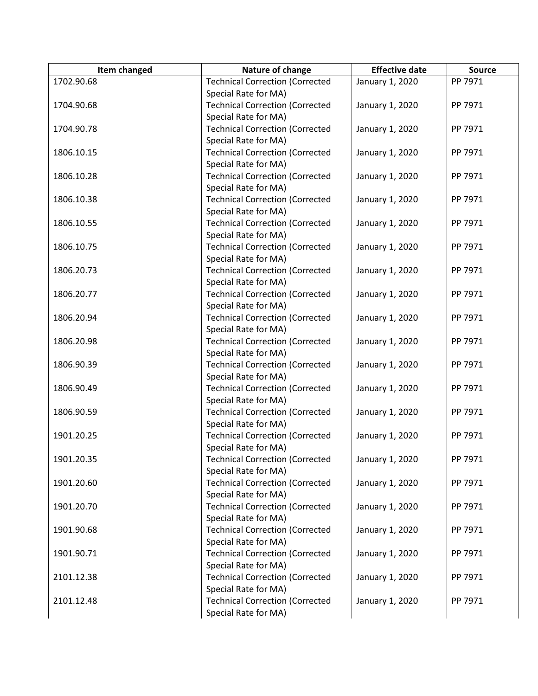| Item changed | Nature of change                       | <b>Effective date</b> | <b>Source</b> |
|--------------|----------------------------------------|-----------------------|---------------|
| 1702.90.68   | <b>Technical Correction (Corrected</b> | January 1, 2020       | PP 7971       |
|              | Special Rate for MA)                   |                       |               |
| 1704.90.68   | <b>Technical Correction (Corrected</b> | January 1, 2020       | PP 7971       |
|              | Special Rate for MA)                   |                       |               |
| 1704.90.78   | <b>Technical Correction (Corrected</b> | January 1, 2020       | PP 7971       |
|              | Special Rate for MA)                   |                       |               |
| 1806.10.15   | <b>Technical Correction (Corrected</b> | January 1, 2020       | PP 7971       |
|              | Special Rate for MA)                   |                       |               |
| 1806.10.28   | <b>Technical Correction (Corrected</b> | January 1, 2020       | PP 7971       |
|              | Special Rate for MA)                   |                       |               |
| 1806.10.38   | <b>Technical Correction (Corrected</b> | January 1, 2020       | PP 7971       |
|              | Special Rate for MA)                   |                       |               |
| 1806.10.55   | <b>Technical Correction (Corrected</b> | January 1, 2020       | PP 7971       |
|              | Special Rate for MA)                   |                       |               |
| 1806.10.75   | <b>Technical Correction (Corrected</b> | January 1, 2020       | PP 7971       |
|              | Special Rate for MA)                   |                       |               |
| 1806.20.73   | <b>Technical Correction (Corrected</b> | January 1, 2020       | PP 7971       |
|              | Special Rate for MA)                   |                       |               |
| 1806.20.77   | <b>Technical Correction (Corrected</b> | January 1, 2020       | PP 7971       |
|              | Special Rate for MA)                   |                       |               |
| 1806.20.94   | <b>Technical Correction (Corrected</b> | January 1, 2020       | PP 7971       |
|              | Special Rate for MA)                   |                       |               |
| 1806.20.98   | <b>Technical Correction (Corrected</b> | January 1, 2020       | PP 7971       |
|              | Special Rate for MA)                   |                       |               |
| 1806.90.39   | <b>Technical Correction (Corrected</b> | January 1, 2020       | PP 7971       |
|              | Special Rate for MA)                   |                       |               |
| 1806.90.49   | <b>Technical Correction (Corrected</b> | January 1, 2020       | PP 7971       |
|              | Special Rate for MA)                   |                       |               |
| 1806.90.59   | <b>Technical Correction (Corrected</b> | January 1, 2020       | PP 7971       |
|              | Special Rate for MA)                   |                       |               |
| 1901.20.25   | <b>Technical Correction (Corrected</b> | January 1, 2020       | PP 7971       |
|              | Special Rate for MA)                   |                       |               |
| 1901.20.35   | <b>Technical Correction (Corrected</b> | January 1, 2020       | PP 7971       |
|              | Special Rate for MA)                   |                       |               |
| 1901.20.60   | <b>Technical Correction (Corrected</b> | January 1, 2020       | PP 7971       |
|              | Special Rate for MA)                   |                       |               |
| 1901.20.70   | <b>Technical Correction (Corrected</b> | January 1, 2020       | PP 7971       |
|              | Special Rate for MA)                   |                       |               |
| 1901.90.68   | <b>Technical Correction (Corrected</b> | January 1, 2020       | PP 7971       |
|              | Special Rate for MA)                   |                       |               |
| 1901.90.71   | <b>Technical Correction (Corrected</b> | January 1, 2020       | PP 7971       |
|              | Special Rate for MA)                   |                       |               |
| 2101.12.38   | <b>Technical Correction (Corrected</b> | January 1, 2020       | PP 7971       |
|              | Special Rate for MA)                   |                       |               |
| 2101.12.48   | <b>Technical Correction (Corrected</b> | January 1, 2020       | PP 7971       |
|              | Special Rate for MA)                   |                       |               |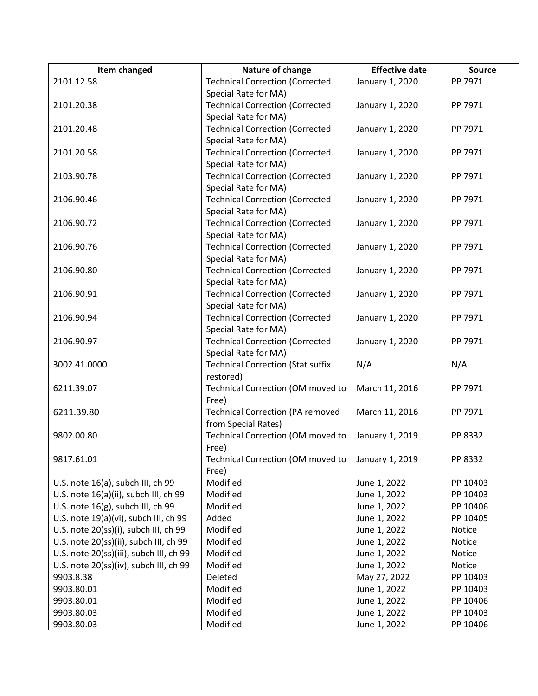| Item changed                            | Nature of change                                             | <b>Effective date</b> | <b>Source</b> |
|-----------------------------------------|--------------------------------------------------------------|-----------------------|---------------|
| 2101.12.58                              | <b>Technical Correction (Corrected</b>                       | January 1, 2020       | PP 7971       |
|                                         | Special Rate for MA)                                         |                       |               |
| 2101.20.38                              | <b>Technical Correction (Corrected</b>                       | January 1, 2020       | PP 7971       |
|                                         | Special Rate for MA)                                         |                       |               |
| 2101.20.48                              | <b>Technical Correction (Corrected</b>                       | January 1, 2020       | PP 7971       |
|                                         | Special Rate for MA)                                         |                       |               |
| 2101.20.58                              | <b>Technical Correction (Corrected</b>                       | January 1, 2020       | PP 7971       |
|                                         | Special Rate for MA)                                         |                       |               |
| 2103.90.78                              | <b>Technical Correction (Corrected</b>                       | January 1, 2020       | PP 7971       |
|                                         | Special Rate for MA)                                         |                       |               |
| 2106.90.46                              | <b>Technical Correction (Corrected</b>                       | January 1, 2020       | PP 7971       |
|                                         | Special Rate for MA)                                         |                       |               |
| 2106.90.72                              | <b>Technical Correction (Corrected</b>                       | January 1, 2020       | PP 7971       |
|                                         | Special Rate for MA)                                         |                       |               |
| 2106.90.76                              | <b>Technical Correction (Corrected</b>                       | January 1, 2020       | PP 7971       |
|                                         | Special Rate for MA)                                         |                       |               |
| 2106.90.80                              | <b>Technical Correction (Corrected</b>                       | January 1, 2020       | PP 7971       |
|                                         | Special Rate for MA)                                         |                       |               |
| 2106.90.91                              | <b>Technical Correction (Corrected</b>                       | January 1, 2020       | PP 7971       |
|                                         | Special Rate for MA)                                         |                       |               |
| 2106.90.94                              | <b>Technical Correction (Corrected</b>                       | January 1, 2020       | PP 7971       |
|                                         | Special Rate for MA)                                         |                       |               |
| 2106.90.97                              | <b>Technical Correction (Corrected</b>                       | January 1, 2020       | PP 7971       |
|                                         | Special Rate for MA)                                         |                       |               |
| 3002.41.0000                            | <b>Technical Correction (Stat suffix</b>                     | N/A                   | N/A           |
|                                         | restored)                                                    |                       |               |
| 6211.39.07                              | Technical Correction (OM moved to                            | March 11, 2016        | PP 7971       |
|                                         | Free)                                                        |                       |               |
| 6211.39.80                              | <b>Technical Correction (PA removed</b>                      | March 11, 2016        | PP 7971       |
|                                         | from Special Rates)                                          |                       | PP 8332       |
| 9802.00.80                              | Technical Correction (OM moved to                            | January 1, 2019       |               |
| 9817.61.01                              | Free)<br>Technical Correction (OM moved to   January 1, 2019 |                       | PP 8332       |
|                                         | Free)                                                        |                       |               |
| U.S. note 16(a), subch III, ch 99       | Modified                                                     | June 1, 2022          | PP 10403      |
| U.S. note 16(a)(ii), subch III, ch 99   | Modified                                                     | June 1, 2022          | PP 10403      |
| U.S. note 16(g), subch III, ch 99       | Modified                                                     | June 1, 2022          | PP 10406      |
| U.S. note 19(a)(vi), subch III, ch 99   | Added                                                        | June 1, 2022          | PP 10405      |
| U.S. note 20(ss)(i), subch III, ch 99   | Modified                                                     | June 1, 2022          | Notice        |
| U.S. note 20(ss)(ii), subch III, ch 99  | Modified                                                     | June 1, 2022          | Notice        |
| U.S. note 20(ss)(iii), subch III, ch 99 | Modified                                                     | June 1, 2022          | Notice        |
| U.S. note 20(ss)(iv), subch III, ch 99  | Modified                                                     | June 1, 2022          | Notice        |
| 9903.8.38                               | Deleted                                                      | May 27, 2022          | PP 10403      |
| 9903.80.01                              | Modified                                                     | June 1, 2022          | PP 10403      |
| 9903.80.01                              | Modified                                                     | June 1, 2022          | PP 10406      |
| 9903.80.03                              | Modified                                                     | June 1, 2022          | PP 10403      |
| 9903.80.03                              | Modified                                                     | June 1, 2022          | PP 10406      |